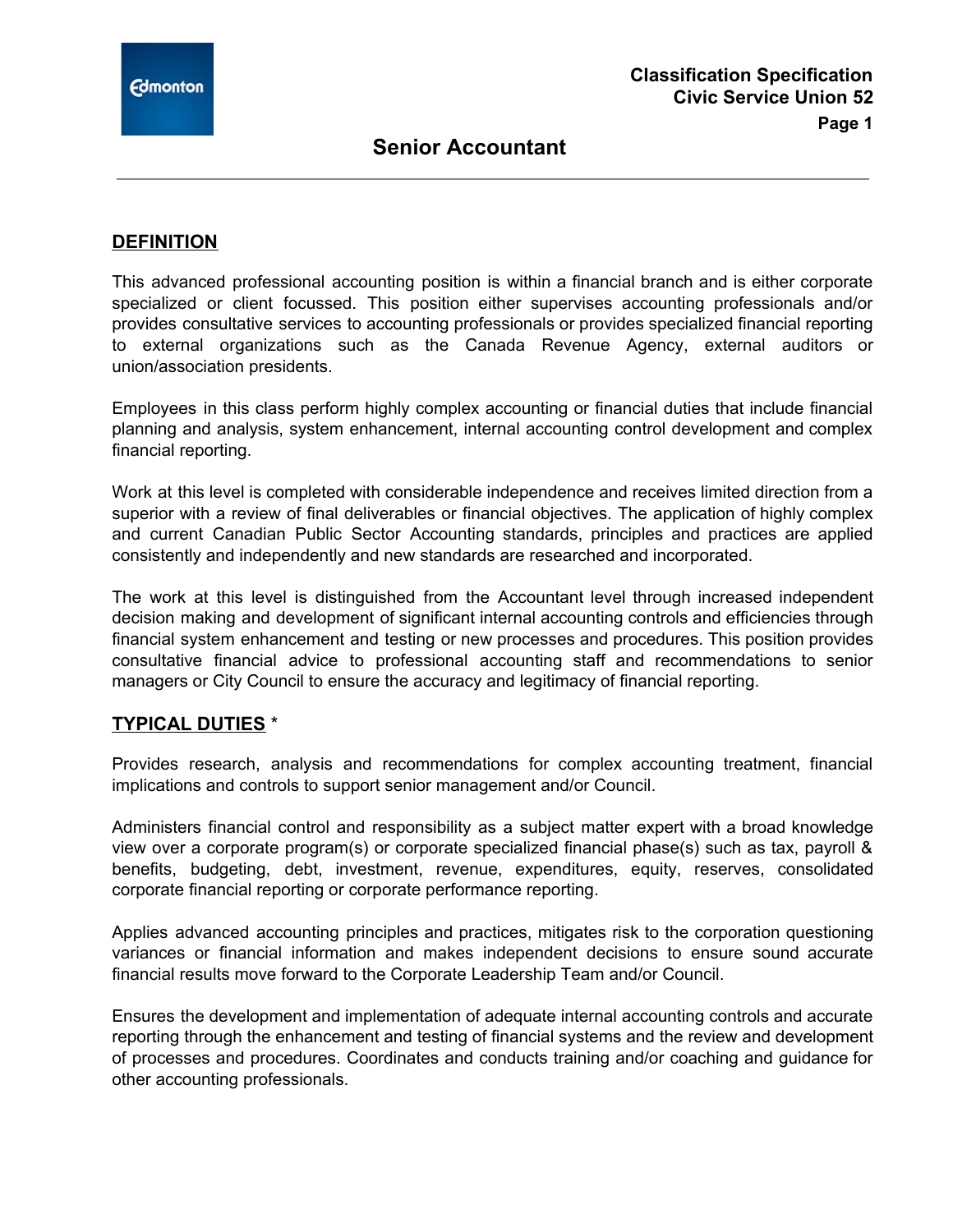

### **DEFINITION**

This advanced professional accounting position is within a financial branch and is either corporate specialized or client focussed. This position either supervises accounting professionals and/or provides consultative services to accounting professionals or provides specialized financial reporting to external organizations such as the Canada Revenue Agency, external auditors or union/association presidents.

Employees in this class perform highly complex accounting or financial duties that include financial planning and analysis, system enhancement, internal accounting control development and complex financial reporting.

Work at this level is completed with considerable independence and receives limited direction from a superior with a review of final deliverables or financial objectives. The application of highly complex and current Canadian Public Sector Accounting standards, principles and practices are applied consistently and independently and new standards are researched and incorporated.

The work at this level is distinguished from the Accountant level through increased independent decision making and development of significant internal accounting controls and efficiencies through financial system enhancement and testing or new processes and procedures. This position provides consultative financial advice to professional accounting staff and recommendations to senior managers or City Council to ensure the accuracy and legitimacy of financial reporting.

### **TYPICAL DUTIES** \*

Provides research, analysis and recommendations for complex accounting treatment, financial implications and controls to support senior management and/or Council.

Administers financial control and responsibility as a subject matter expert with a broad knowledge view over a corporate program(s) or corporate specialized financial phase(s) such as tax, payroll & benefits, budgeting, debt, investment, revenue, expenditures, equity, reserves, consolidated corporate financial reporting or corporate performance reporting.

Applies advanced accounting principles and practices, mitigates risk to the corporation questioning variances or financial information and makes independent decisions to ensure sound accurate financial results move forward to the Corporate Leadership Team and/or Council.

Ensures the development and implementation of adequate internal accounting controls and accurate reporting through the enhancement and testing of financial systems and the review and development of processes and procedures. Coordinates and conducts training and/or coaching and guidance for other accounting professionals.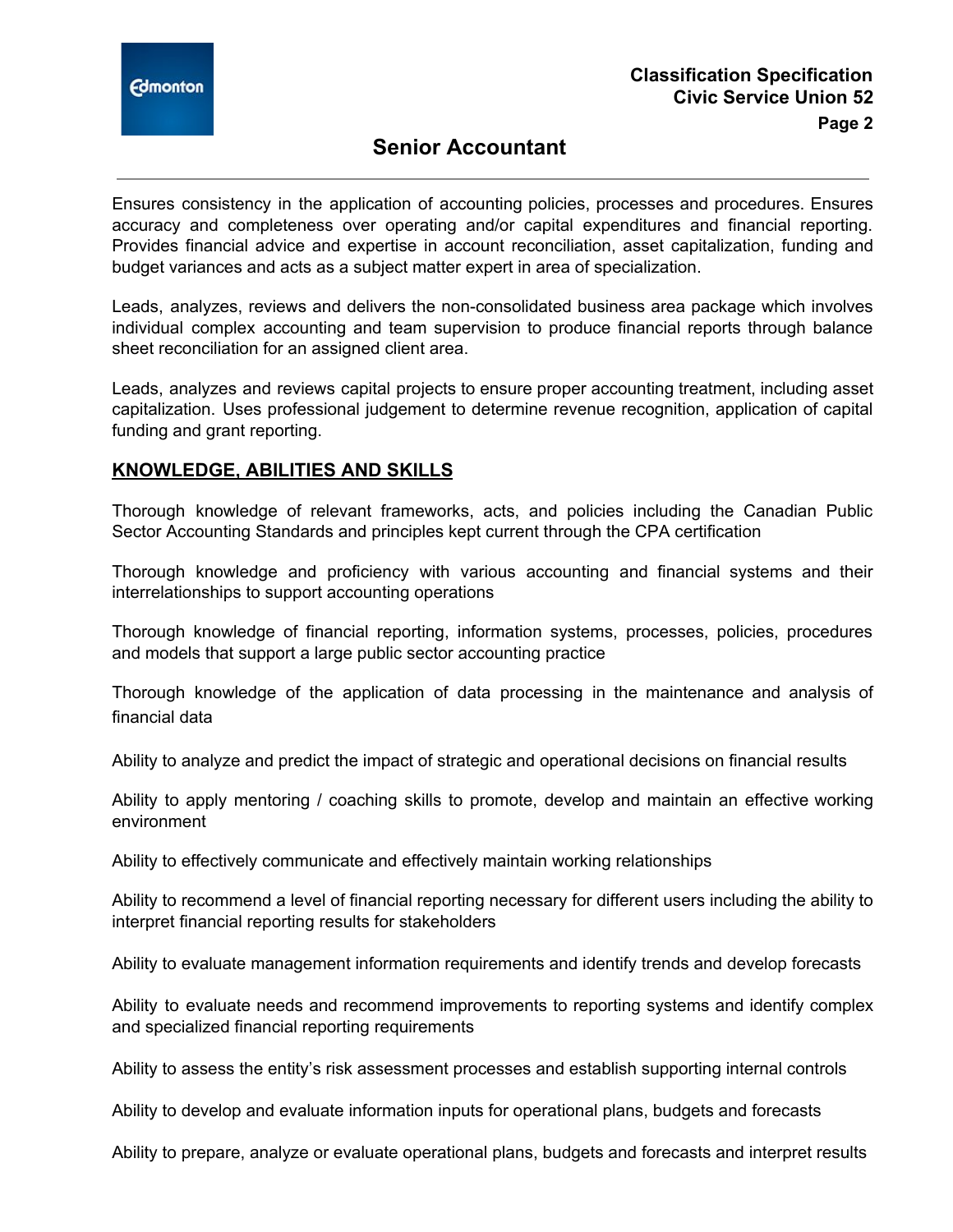

# **Senior Accountant**

Ensures consistency in the application of accounting policies, processes and procedures. Ensures accuracy and completeness over operating and/or capital expenditures and financial reporting. Provides financial advice and expertise in account reconciliation, asset capitalization, funding and budget variances and acts as a subject matter expert in area of specialization.

Leads, analyzes, reviews and delivers the non-consolidated business area package which involves individual complex accounting and team supervision to produce financial reports through balance sheet reconciliation for an assigned client area.

Leads, analyzes and reviews capital projects to ensure proper accounting treatment, including asset capitalization. Uses professional judgement to determine revenue recognition, application of capital funding and grant reporting.

#### **KNOWLEDGE, ABILITIES AND SKILLS**

Thorough knowledge of relevant frameworks, acts, and policies including the Canadian Public Sector Accounting Standards and principles kept current through the CPA certification

Thorough knowledge and proficiency with various accounting and financial systems and their interrelationships to support accounting operations

Thorough knowledge of financial reporting, information systems, processes, policies, procedures and models that support a large public sector accounting practice

Thorough knowledge of the application of data processing in the maintenance and analysis of financial data

Ability to analyze and predict the impact of strategic and operational decisions on financial results

Ability to apply mentoring / coaching skills to promote, develop and maintain an effective working environment

Ability to effectively communicate and effectively maintain working relationships

Ability to recommend a level of financial reporting necessary for different users including the ability to interpret financial reporting results for stakeholders

Ability to evaluate management information requirements and identify trends and develop forecasts

Ability to evaluate needs and recommend improvements to reporting systems and identify complex and specialized financial reporting requirements

Ability to assess the entity's risk assessment processes and establish supporting internal controls

Ability to develop and evaluate information inputs for operational plans, budgets and forecasts

Ability to prepare, analyze or evaluate operational plans, budgets and forecasts and interpret results